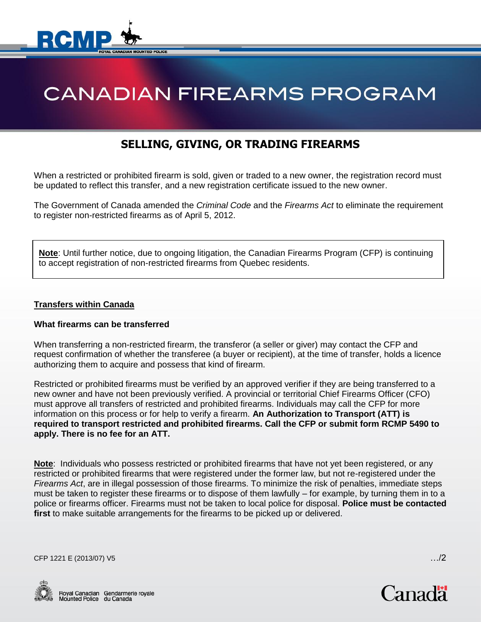

# **CANADIAN FIREARMS PROGRAM**

# **SELLING, GIVING, OR TRADING FIREARMS**

When a restricted or prohibited firearm is sold, given or traded to a new owner, the registration record must be updated to reflect this transfer, and a new registration certificate issued to the new owner.

The Government of Canada amended the *Criminal Code* and the *Firearms Act* to eliminate the requirement to register non-restricted firearms as of April 5, 2012.

**Note**: Until further notice, due to ongoing litigation, the Canadian Firearms Program (CFP) is continuing to accept registration of non-restricted firearms from Quebec residents.

# **Transfers within Canada**

#### **What firearms can be transferred**

When transferring a non-restricted firearm, the transferor (a seller or giver) may contact the CFP and request confirmation of whether the transferee (a buyer or recipient), at the time of transfer, holds a licence authorizing them to acquire and possess that kind of firearm.

Restricted or prohibited firearms must be verified by an approved verifier if they are being transferred to a new owner and have not been previously verified. A provincial or territorial Chief Firearms Officer (CFO) must approve all transfers of restricted and prohibited firearms. Individuals may call the CFP for more information on this process or for help to verify a firearm. **An Authorization to Transport (ATT) is required to transport restricted and prohibited firearms. Call the CFP or submit form RCMP 5490 to apply. There is no fee for an ATT.**

**Note**: Individuals who possess restricted or prohibited firearms that have not yet been registered, or any restricted or prohibited firearms that were registered under the former law, but not re-registered under the *Firearms Act*, are in illegal possession of those firearms. To minimize the risk of penalties, immediate steps must be taken to register these firearms or to dispose of them lawfully – for example, by turning them in to a police or firearms officer. Firearms must not be taken to local police for disposal. **Police must be contacted first** to make suitable arrangements for the firearms to be picked up or delivered.

CFP 1221 E (2013/07) V5 …/2

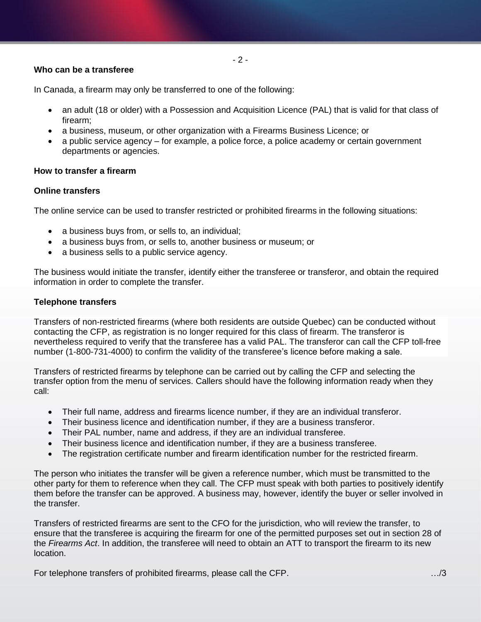# **Who can be a transferee**

In Canada, a firearm may only be transferred to one of the following:

- an adult (18 or older) with a Possession and Acquisition Licence (PAL) that is valid for that class of firearm;
- a business, museum, or other organization with a Firearms Business Licence; or
- a public service agency for example, a police force, a police academy or certain government departments or agencies.

# **How to transfer a firearm**

# **Online transfers**

The online service can be used to transfer restricted or prohibited firearms in the following situations:

- a business buys from, or sells to, an individual;
- a business buys from, or sells to, another business or museum; or
- a business sells to a public service agency.

The business would initiate the transfer, identify either the transferee or transferor, and obtain the required information in order to complete the transfer.

# **Telephone transfers**

Transfers of non-restricted firearms (where both residents are outside Quebec) can be conducted without contacting the CFP, as registration is no longer required for this class of firearm. The transferor is nevertheless required to verify that the transferee has a valid PAL. The transferor can call the CFP toll-free number (1-800-731-4000) to confirm the validity of the transferee's licence before making a sale.

Transfers of restricted firearms by telephone can be carried out by calling the CFP and selecting the transfer option from the menu of services. Callers should have the following information ready when they call:

- Their full name, address and firearms licence number, if they are an individual transferor.
- Their business licence and identification number, if they are a business transferor.
- Their PAL number, name and address, if they are an individual transferee.
- Their business licence and identification number, if they are a business transferee.
- The registration certificate number and firearm identification number for the restricted firearm.

The person who initiates the transfer will be given a reference number, which must be transmitted to the other party for them to reference when they call. The CFP must speak with both parties to positively identify them before the transfer can be approved. A business may, however, identify the buyer or seller involved in the transfer.

Transfers of restricted firearms are sent to the CFO for the jurisdiction, who will review the transfer, to ensure that the transferee is acquiring the firearm for one of the permitted purposes set out in section 28 of the *Firearms Act*. In addition, the transferee will need to obtain an ATT to transport the firearm to its new location.

For telephone transfers of prohibited firearms, please call the CFP. …/3